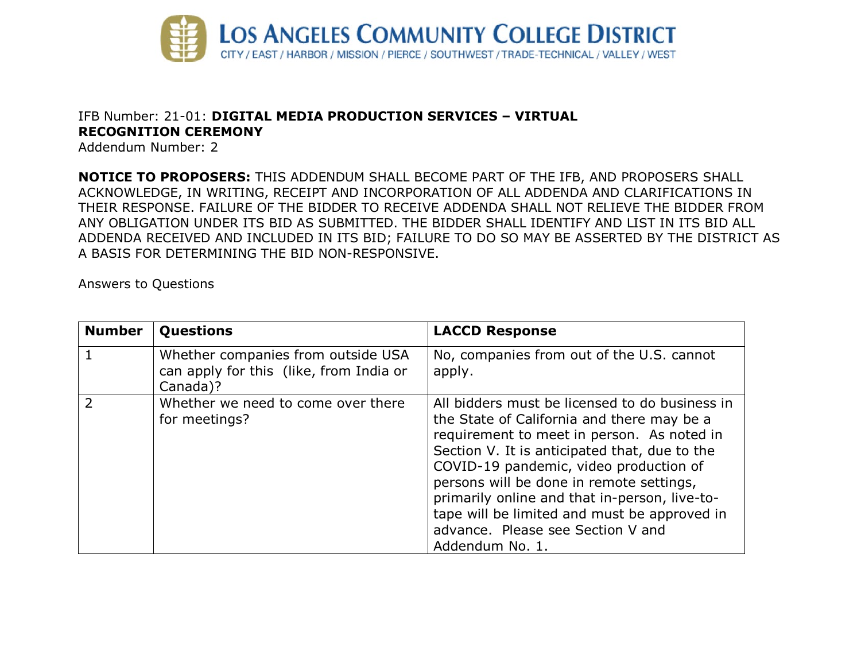

## IFB Number: 21-01: **DIGITAL MEDIA PRODUCTION SERVICES – VIRTUAL RECOGNITION CEREMONY**

Addendum Number: 2

**NOTICE TO PROPOSERS:** THIS ADDENDUM SHALL BECOME PART OF THE IFB, AND PROPOSERS SHALL ACKNOWLEDGE, IN WRITING, RECEIPT AND INCORPORATION OF ALL ADDENDA AND CLARIFICATIONS IN THEIR RESPONSE. FAILURE OF THE BIDDER TO RECEIVE ADDENDA SHALL NOT RELIEVE THE BIDDER FROM ANY OBLIGATION UNDER ITS BID AS SUBMITTED. THE BIDDER SHALL IDENTIFY AND LIST IN ITS BID ALL ADDENDA RECEIVED AND INCLUDED IN ITS BID; FAILURE TO DO SO MAY BE ASSERTED BY THE DISTRICT AS A BASIS FOR DETERMINING THE BID NON-RESPONSIVE.

Answers to Questions

| <b>Number</b> | Questions                                                                                 | <b>LACCD Response</b>                                                                                                                                                                                                                                                                                                                                                                                                                      |
|---------------|-------------------------------------------------------------------------------------------|--------------------------------------------------------------------------------------------------------------------------------------------------------------------------------------------------------------------------------------------------------------------------------------------------------------------------------------------------------------------------------------------------------------------------------------------|
|               | Whether companies from outside USA<br>can apply for this (like, from India or<br>Canada)? | No, companies from out of the U.S. cannot<br>apply.                                                                                                                                                                                                                                                                                                                                                                                        |
|               | Whether we need to come over there<br>for meetings?                                       | All bidders must be licensed to do business in<br>the State of California and there may be a<br>requirement to meet in person. As noted in<br>Section V. It is anticipated that, due to the<br>COVID-19 pandemic, video production of<br>persons will be done in remote settings,<br>primarily online and that in-person, live-to-<br>tape will be limited and must be approved in<br>advance. Please see Section V and<br>Addendum No. 1. |